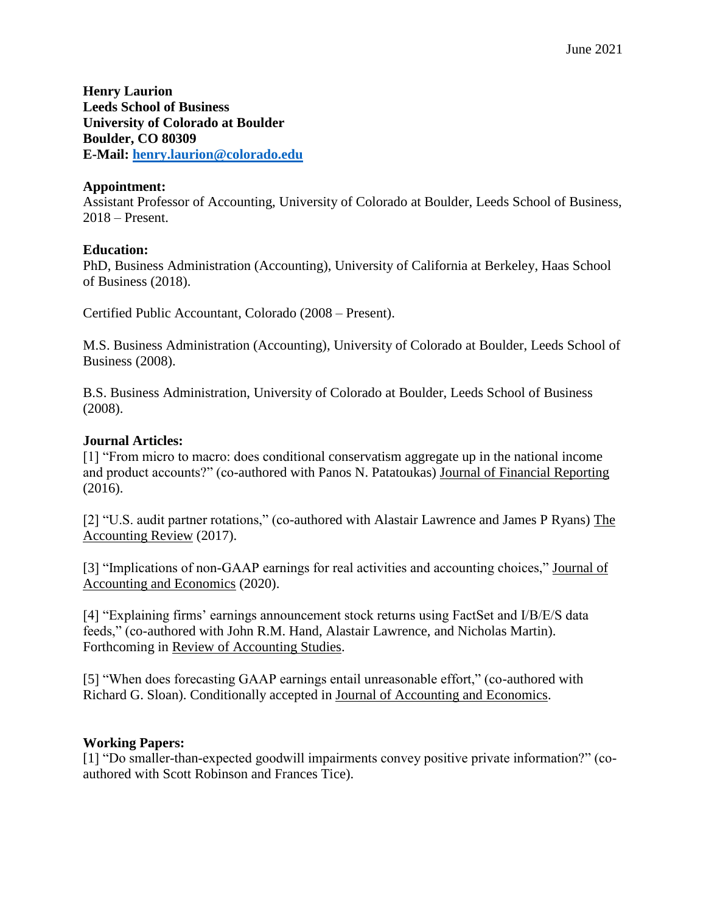**Henry Laurion Leeds School of Business University of Colorado at Boulder Boulder, CO 80309 E-Mail: [henry.laurion@colorado.edu](mailto:henry.laurion@colorado.edu)**

## **Appointment:**

Assistant Professor of Accounting, University of Colorado at Boulder, Leeds School of Business, 2018 – Present.

## **Education:**

PhD, Business Administration (Accounting), University of California at Berkeley, Haas School of Business (2018).

Certified Public Accountant, Colorado (2008 – Present).

M.S. Business Administration (Accounting), University of Colorado at Boulder, Leeds School of Business (2008).

B.S. Business Administration, University of Colorado at Boulder, Leeds School of Business (2008).

## **Journal Articles:**

[1] "From micro to macro: does conditional conservatism aggregate up in the national income and product accounts?" (co-authored with Panos N. Patatoukas) Journal of Financial Reporting (2016).

[2] "U.S. audit partner rotations," (co-authored with Alastair Lawrence and James P Ryans) The Accounting Review (2017).

[3] "Implications of non-GAAP earnings for real activities and accounting choices," Journal of Accounting and Economics (2020).

[4] "Explaining firms' earnings announcement stock returns using FactSet and I/B/E/S data feeds," (co-authored with John R.M. Hand, Alastair Lawrence, and Nicholas Martin). Forthcoming in Review of Accounting Studies.

[5] "When does forecasting GAAP earnings entail unreasonable effort," (co-authored with Richard G. Sloan). Conditionally accepted in Journal of Accounting and Economics.

# **Working Papers:**

[1] "Do smaller-than-expected goodwill impairments convey positive private information?" (coauthored with Scott Robinson and Frances Tice).